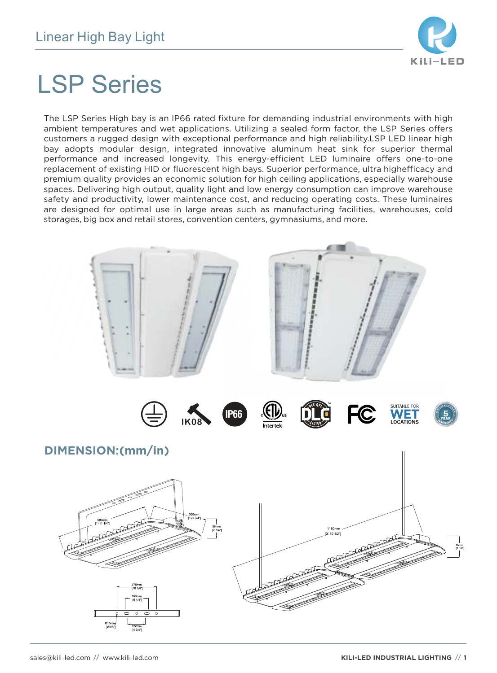

The LSP Series High bay is an IP66 rated fixture for demanding industrial environments with high ambient temperatures and wet applications. Utilizing a sealed form factor, the LSP Series offers customers a rugged design with exceptional performance and high reliability.LSP LED linear high bay adopts modular design, integrated innovative aluminum heat sink for superior thermal performance and increased longevity. This energy-efficient LED luminaire offers one-to-one replacement of existing HID or fluorescent high bays. Superior performance, ultra highefficacy and premium quality provides an economic solution for high ceiling applications, especially warehouse spaces. Delivering high output, quality light and low energy consumption can improve warehouse safety and productivity, lower maintenance cost, and reducing operating costs. These luminaires are designed for optimal use in large areas such as manufacturing facilities, warehouses, cold storages, big box and retail stores, convention centers, gymnasiums, and more.

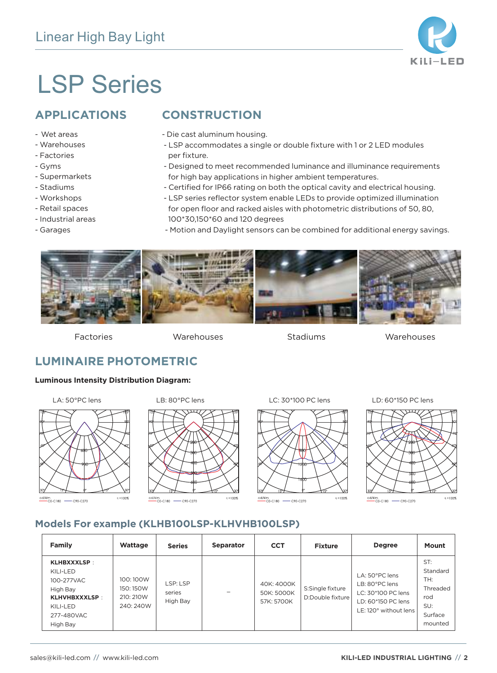## Linear High Bay Light



# LSP Series

### **APPLICATIONS**

- Wet areas
- Warehouses
- Factories
- Gyms
- Supermarkets
- Stadiums
- Workshops
- Retail spaces
- Industrial areas
- Garages

### **CONSTRUCTION**

- Die cast aluminum housing.
- LSP accommodates a single or double fixture with 1 or 2 LED modules per fixture.
- Designed to meet recommended luminance and illuminance requirements for high bay applications in higher ambient temperatures.
- Certified for IP66 rating on both the optical cavity and electrical housing.
- LSP series reflector system enable LEDs to provide optimized illumination
- for open floor and racked aisles with photometric distributions of 50, 80, 100\*30,150\*60 and 120 degrees
- Motion and Daylight sensors can be combined for additional energy savings.



Factories Warehouses

Stadiums Warehouses

### **LUMINAIRE PHOTOMETRIC**

#### **Luminous Intensity Distribution Diagram:**











#### **Models For example ( ) KLHB100LSP-KLHVHB100LSP**

| <b>Family</b>                                                                                                         | Wattage                                       | <b>Series</b>                  | <b>Separator</b> | <b>CCT</b>                             | <b>Fixture</b>                       | <b>Degree</b>                                                                                         | <b>Mount</b>                                                           |
|-----------------------------------------------------------------------------------------------------------------------|-----------------------------------------------|--------------------------------|------------------|----------------------------------------|--------------------------------------|-------------------------------------------------------------------------------------------------------|------------------------------------------------------------------------|
| <b>KLHBXXXLSP:</b><br>KILI-LED<br>100-277VAC<br>High Bay<br><b>KLHVHBXXXLSP</b><br>KILI-LED<br>277-480VAC<br>High Bay | 100:100W<br>150:150W<br>210: 210W<br>240:240W | LSP: LSP<br>series<br>High Bay |                  | 40K: 4000K<br>50K: 5000K<br>57K: 5700K | S:Single fixture<br>D:Double fixture | LA: 50°PC lens<br>LB: 80°PC lens<br>LC: 30*100 PC lens<br>LD: 60*150 PC lens<br>LE: 120° without lens | ST:<br>Standard<br>TH:<br>Threaded<br>rod<br>SU:<br>Surface<br>mounted |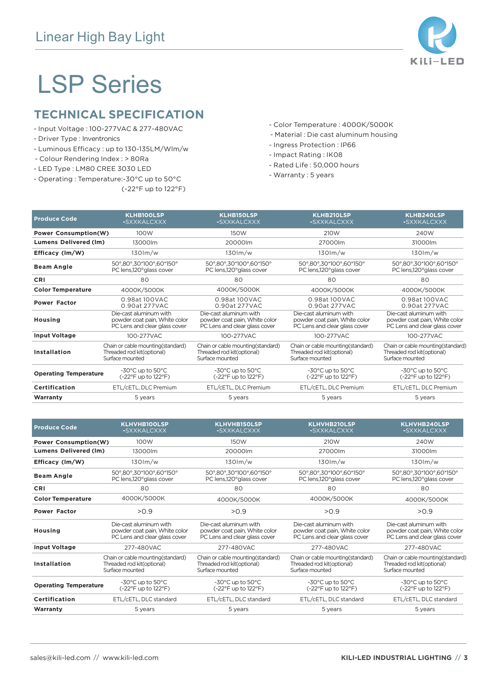## Linear High Bay Light



# LSP Series

### **TECHNICAL SPECIFICATION**

- Input Voltage : 100-277VAC & 277-480VAC
- Driver Type : Inventronics
- Luminous Efficacy : up to 130-135LM/Wlm/w
- Colour Rendering Index : > 80Ra
- LED Type : LM80 CREE 3030 LED
- Operating : Temperature:-30°C up to 50°C (-22°F up to 122°F)
- Color Temperature : 4000K/5000K
- Material : Die cast aluminum housing
- Ingress Protection : IP66
- Impact Rating : IK08
- Rated Life : 50,000 hours
- Warranty : 5 years

|                              | <b>KLHB100LSP</b>                                                                        | <b>KLHB15OLSP</b>                                                                        | KLHB210LSP                                                                               | KLHB240LSP                                                                               |  |
|------------------------------|------------------------------------------------------------------------------------------|------------------------------------------------------------------------------------------|------------------------------------------------------------------------------------------|------------------------------------------------------------------------------------------|--|
| <b>Produce Code</b>          | -SXXKALCXXX                                                                              | -SXXKALCXXX                                                                              | -SXXKALCXXX                                                                              | -SXXKALCXXX                                                                              |  |
| <b>Power Consumption(W)</b>  | 100W                                                                                     | 150W                                                                                     | 210W                                                                                     | 240W                                                                                     |  |
| <b>Lumens Delivered (Im)</b> | 13000lm                                                                                  | 20000lm                                                                                  | 27000lm                                                                                  | 31000lm                                                                                  |  |
| Efficacy (lm/W)              | $130 \mathrm{Im}/w$                                                                      | $130 \mathrm{Im}/w$                                                                      | $130 \mathrm{Im}/w$                                                                      | $130 \mathrm{Im}/w$                                                                      |  |
| <b>Beam Angle</b>            | 50°,80°,30*100°,60*150°<br>PC lens,120°glass cover                                       | 50°,80°,30*100°,60*150°<br>PC lens,120°glass cover                                       | 50°,80°,30*100°,60*150°<br>PC lens,120°glass cover                                       | 50°,80°,30*100°,60*150°<br>PC lens,120°glass cover                                       |  |
| <b>CRI</b>                   | 80                                                                                       | 80                                                                                       | 80                                                                                       | 80                                                                                       |  |
| <b>Color Temperature</b>     | 4000K/5000K                                                                              | 4000K/5000K                                                                              | 4000K/5000K                                                                              | 4000K/5000K                                                                              |  |
| <b>Power Factor</b>          | 0.98at 100VAC<br>0.90at 277VAC                                                           | 0.98at 100VAC<br>0.90at 277VAC                                                           | 0.98at 100VAC<br>0.90at 277VAC                                                           | 0.98at 100VAC<br>0.90at 277VAC                                                           |  |
| Housing                      | Die-cast aluminum with<br>powder coat pain, White color<br>PC Lens and clear glass cover | Die-cast aluminum with<br>powder coat pain, White color<br>PC Lens and clear glass cover | Die-cast aluminum with<br>powder coat pain, White color<br>PC Lens and clear glass cover | Die-cast aluminum with<br>powder coat pain, White color<br>PC Lens and clear glass cover |  |
| <b>Input Voltage</b>         | 100-277VAC                                                                               | 100-277VAC                                                                               | 100-277VAC                                                                               | 100-277VAC                                                                               |  |
| Installation                 | Chain or cable mounting(standard)<br>Threaded rod kit(optional)<br>Surface mounted       | Chain or cable mounting(standard)<br>Threaded rod kit(optional)<br>Surface mounted       | Chain or cable mounting(standard)<br>Threaded rod kit(optional)<br>Surface mounted       | Chain or cable mounting(standard)<br>Threaded rod kit(optional)<br>Surface mounted       |  |
| <b>Operating Temperature</b> | -30°C up to 50°C<br>(-22°F up to 122°F)                                                  | -30°C up to 50°C<br>$(-22^{\circ}F \text{ up to } 122^{\circ}F)$                         | -30°C up to 50°C<br>(-22°F up to 122°F)                                                  | -30°C up to 50°C<br>(-22°F up to 122°F)                                                  |  |
| Certification                | ETL/CETL, DLC Premium                                                                    | ETL/CETL, DLC Premium                                                                    | ETL/CETL, DLC Premium                                                                    | ETL/cETL, DLC Premium                                                                    |  |
| Warranty                     | 5 years                                                                                  | 5 years                                                                                  | 5 years                                                                                  | 5 years                                                                                  |  |
|                              |                                                                                          |                                                                                          |                                                                                          |                                                                                          |  |

| <b>Produce Code</b>          | <b>KLHVHB100LSP</b><br>-SXXKALCXXX                                                       | KLHVHB150LSP<br>-SXXKALCXXX                                                              | KLHVHB210LSP<br>-SXXKALCXXX                                                              | KLHVHB240LSP<br>-SXXKALCXXX                                                              |
|------------------------------|------------------------------------------------------------------------------------------|------------------------------------------------------------------------------------------|------------------------------------------------------------------------------------------|------------------------------------------------------------------------------------------|
| <b>Power Consumption(W)</b>  | 100W                                                                                     | 150W                                                                                     | 210W                                                                                     | 240W                                                                                     |
| <b>Lumens Delivered (Im)</b> | 13000lm                                                                                  | 20000lm                                                                                  | 27000lm                                                                                  | 31000lm                                                                                  |
| Efficacy (lm/W)              | $130 \, \mathrm{fm}/\mathrm{w}$                                                          | $130 \, \mathrm{m/w}$                                                                    | $130 \, \mathrm{fm}/\mathrm{w}$                                                          | $130 \, \mathrm{fm}/\mathrm{w}$                                                          |
| <b>Beam Angle</b>            | 50°,80°,30*100°,60*150°<br>PC lens,120°glass cover                                       | 50°,80°,30*100°,60*150°<br>PC lens,120°glass cover                                       | 50°,80°,30*100°,60*150°<br>PC lens,120° glass cover                                      | 50°,80°,30*100°,60*150°<br>PC lens,120°glass cover                                       |
| <b>CRI</b>                   | 80                                                                                       | 80                                                                                       | 80                                                                                       | 80                                                                                       |
| <b>Color Temperature</b>     | 4000K/5000K                                                                              | 4000K/5000K                                                                              | 4000K/5000K                                                                              | 4000K/5000K                                                                              |
| <b>Power Factor</b>          | >0.9                                                                                     | >0.9                                                                                     | >0.9                                                                                     | >0.9                                                                                     |
| Housing                      | Die-cast aluminum with<br>powder coat pain, White color<br>PC Lens and clear glass cover | Die-cast aluminum with<br>powder coat pain, White color<br>PC Lens and clear glass cover | Die-cast aluminum with<br>powder coat pain, White color<br>PC Lens and clear glass cover | Die-cast aluminum with<br>powder coat pain, White color<br>PC Lens and clear glass cover |
| <b>Input Voltage</b>         | 277-480VAC                                                                               | 277-480VAC                                                                               | 277-480VAC                                                                               | 277-480VAC                                                                               |
| Installation                 | Chain or cable mounting(standard)<br>Threaded rod kit(optional)<br>Surface mounted       | Chain or cable mounting(standard)<br>Threaded rod kit(optional)<br>Surface mounted       | Chain or cable mounting(standard)<br>Threaded rod kit(optional)<br>Surface mounted       | Chain or cable mounting(standard)<br>Threaded rod kit(optional)<br>Surface mounted       |
| <b>Operating Temperature</b> | -30°C up to 50°C<br>(-22°F up to 122°F)                                                  | -30°C up to 50°C<br>(-22°F up to 122°F)                                                  | -30°C up to 50°C<br>(-22°F up to 122°F)                                                  | $-30^{\circ}$ C up to $50^{\circ}$ C<br>(-22°F up to 122°F)                              |
| Certification                | ETL/CETL, DLC standard                                                                   | ETL/CETL, DLC standard                                                                   | ETL/CETL, DLC standard                                                                   | ETL/CETL, DLC standard                                                                   |
| Warranty                     | 5 years                                                                                  | 5 years                                                                                  | 5 years                                                                                  | 5 years                                                                                  |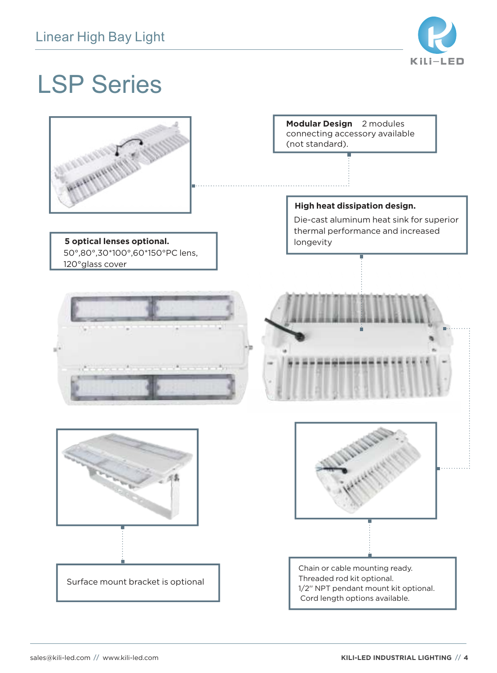

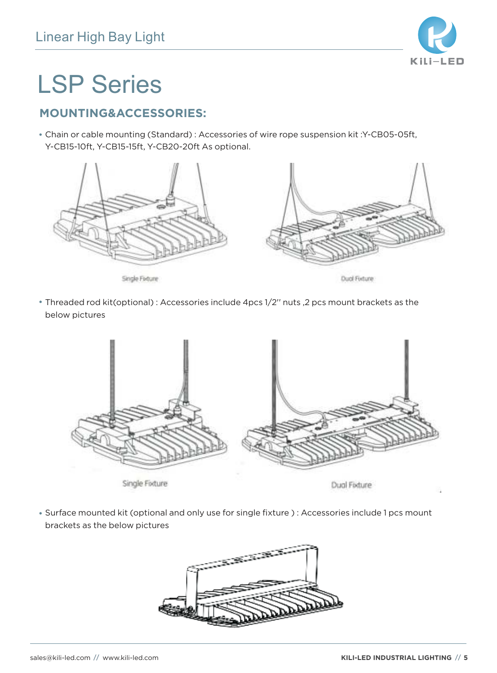

### **MOUNTING&ACCESSORIES:**

Chain or cable mounting (Standard) : Accessories of wire rope suspension kit :Y-CB05-05ft, Y-CB15-10ft, Y-CB15-15ft, Y-CB20-20ft As optional.



Dual Fedure

Threaded rod kit(optional) : Accessories include 4pcs 1/2'' nuts ,2 pcs mount brackets as the below pictures



Surface mounted kit (optional and only use for single fixture) : Accessories include 1 pcs mount brackets as the below pictures